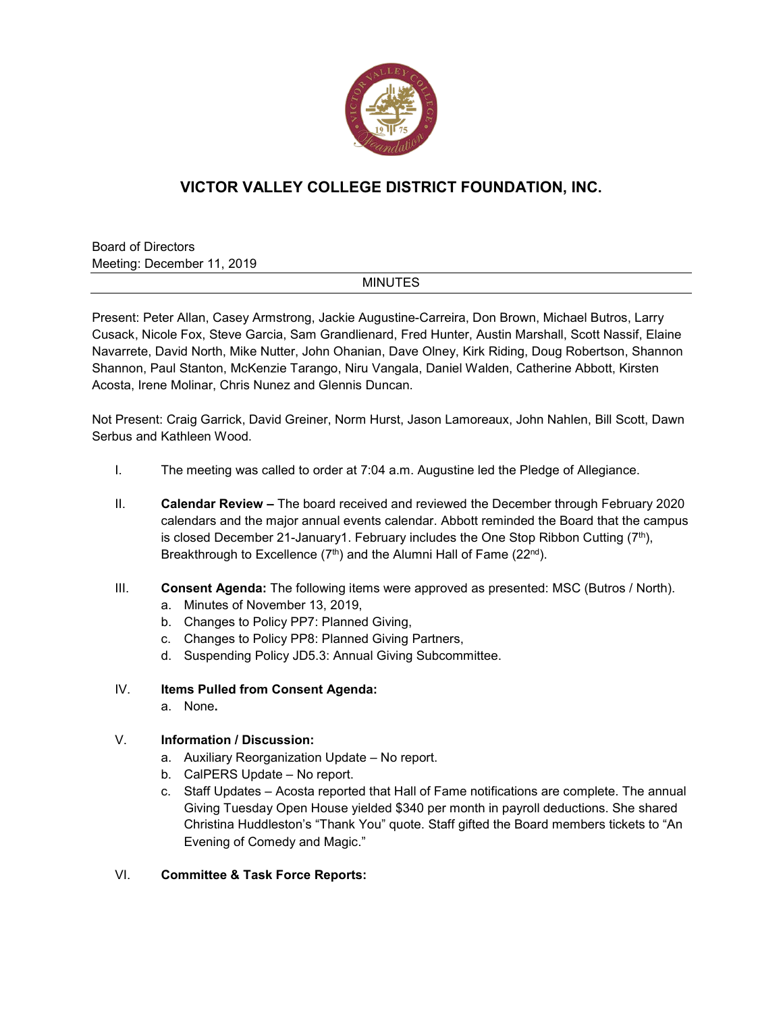

# **VICTOR VALLEY COLLEGE DISTRICT FOUNDATION, INC.**

Board of Directors Meeting: December 11, 2019

# MINUTES

Present: Peter Allan, Casey Armstrong, Jackie Augustine-Carreira, Don Brown, Michael Butros, Larry Cusack, Nicole Fox, Steve Garcia, Sam Grandlienard, Fred Hunter, Austin Marshall, Scott Nassif, Elaine Navarrete, David North, Mike Nutter, John Ohanian, Dave Olney, Kirk Riding, Doug Robertson, Shannon Shannon, Paul Stanton, McKenzie Tarango, Niru Vangala, Daniel Walden, Catherine Abbott, Kirsten Acosta, Irene Molinar, Chris Nunez and Glennis Duncan.

Not Present: Craig Garrick, David Greiner, Norm Hurst, Jason Lamoreaux, John Nahlen, Bill Scott, Dawn Serbus and Kathleen Wood.

- I. The meeting was called to order at 7:04 a.m. Augustine led the Pledge of Allegiance.
- II. **Calendar Review –** The board received and reviewed the December through February 2020 calendars and the major annual events calendar. Abbott reminded the Board that the campus is closed December 21-January1. February includes the One Stop Ribbon Cutting  $(7<sup>th</sup>)$ , Breakthrough to Excellence  $(7<sup>th</sup>)$  and the Alumni Hall of Fame  $(22<sup>nd</sup>)$ .
- III. **Consent Agenda:** The following items were approved as presented: MSC (Butros / North).
	- a. Minutes of November 13, 2019,
	- b. Changes to Policy PP7: Planned Giving,
	- c. Changes to Policy PP8: Planned Giving Partners,
	- d. Suspending Policy JD5.3: Annual Giving Subcommittee.

# IV. **Items Pulled from Consent Agenda:**

a. None**.**

# V. **Information / Discussion:**

- a. Auxiliary Reorganization Update No report.
- b. CalPERS Update No report.
- c. Staff Updates Acosta reported that Hall of Fame notifications are complete. The annual Giving Tuesday Open House yielded \$340 per month in payroll deductions. She shared Christina Huddleston's "Thank You" quote. Staff gifted the Board members tickets to "An Evening of Comedy and Magic."

# VI. **Committee & Task Force Reports:**